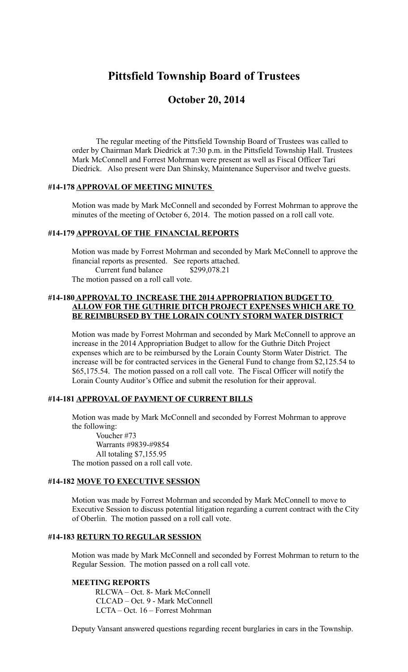# **Pittsfield Township Board of Trustees**

## **October 20, 2014**

The regular meeting of the Pittsfield Township Board of Trustees was called to order by Chairman Mark Diedrick at 7:30 p.m. in the Pittsfield Township Hall. Trustees Mark McConnell and Forrest Mohrman were present as well as Fiscal Officer Tari Diedrick. Also present were Dan Shinsky, Maintenance Supervisor and twelve guests.

#### **#14-178 APPROVAL OF MEETING MINUTES**

Motion was made by Mark McConnell and seconded by Forrest Mohrman to approve the minutes of the meeting of October 6, 2014. The motion passed on a roll call vote.

#### **#14-179 APPROVAL OF THE FINANCIAL REPORTS**

Motion was made by Forrest Mohrman and seconded by Mark McConnell to approve the financial reports as presented. See reports attached. Current fund balance \$299,078.21 The motion passed on a roll call vote.

## **#14-180 APPROVAL TO INCREASE THE 2014 APPROPRIATION BUDGET TO ALLOW FOR THE GUTHRIE DITCH PROJECT EXPENSES WHICH ARE TO BE REIMBURSED BY THE LORAIN COUNTY STORM WATER DISTRICT**

Motion was made by Forrest Mohrman and seconded by Mark McConnell to approve an increase in the 2014 Appropriation Budget to allow for the Guthrie Ditch Project expenses which are to be reimbursed by the Lorain County Storm Water District. The increase will be for contracted services in the General Fund to change from \$2,125.54 to \$65,175.54. The motion passed on a roll call vote. The Fiscal Officer will notify the Lorain County Auditor's Office and submit the resolution for their approval.

## **#14-181 APPROVAL OF PAYMENT OF CURRENT BILLS**

Motion was made by Mark McConnell and seconded by Forrest Mohrman to approve the following:

Voucher #73 Warrants #9839-#9854 All totaling \$7,155.95 The motion passed on a roll call vote.

#### **#14-182 MOVE TO EXECUTIVE SESSION**

Motion was made by Forrest Mohrman and seconded by Mark McConnell to move to Executive Session to discuss potential litigation regarding a current contract with the City of Oberlin. The motion passed on a roll call vote.

#### **#14-183 RETURN TO REGULAR SESSION**

Motion was made by Mark McConnell and seconded by Forrest Mohrman to return to the Regular Session. The motion passed on a roll call vote.

#### **MEETING REPORTS**

RLCWA – Oct. 8- Mark McConnell CLCAD – Oct. 9 - Mark McConnell LCTA – Oct. 16 – Forrest Mohrman

Deputy Vansant answered questions regarding recent burglaries in cars in the Township.